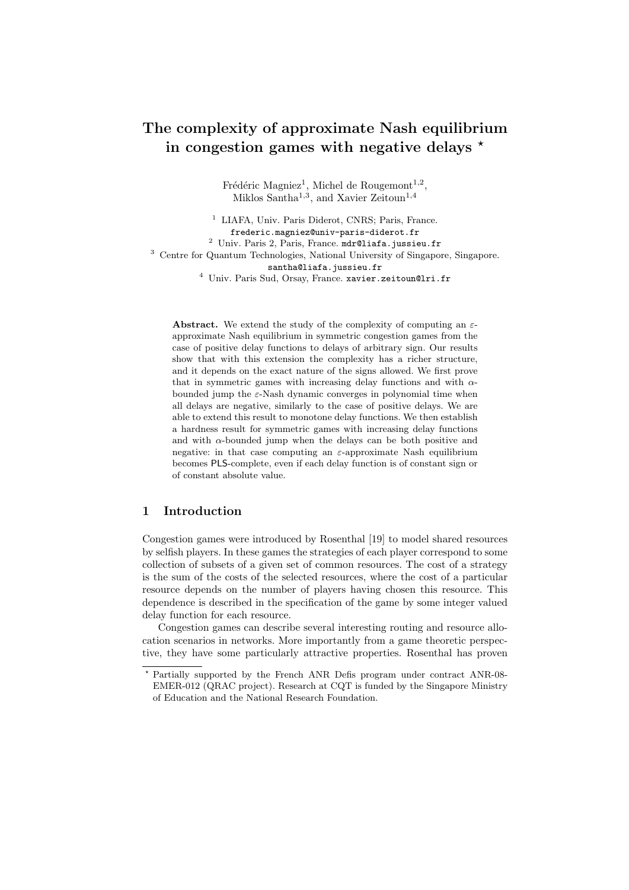# The complexity of approximate Nash equilibrium in congestion games with negative delays  $\star$

Frédéric Magniez<sup>1</sup>, Michel de Rougemont<sup>1,2</sup>, Miklos Santha<sup>1,3</sup>, and Xavier Zeitoun<sup>1,4</sup>

<sup>1</sup> LIAFA, Univ. Paris Diderot, CNRS; Paris, France. frederic.magniez@univ-paris-diderot.fr <sup>2</sup> Univ. Paris 2, Paris, France. mdr@liafa.jussieu.fr <sup>3</sup> Centre for Quantum Technologies, National University of Singapore, Singapore. santha@liafa.jussieu.fr <sup>4</sup> Univ. Paris Sud, Orsay, France. xavier.zeitoun@lri.fr

**Abstract.** We extend the study of the complexity of computing an  $\varepsilon$ approximate Nash equilibrium in symmetric congestion games from the case of positive delay functions to delays of arbitrary sign. Our results show that with this extension the complexity has a richer structure, and it depends on the exact nature of the signs allowed. We first prove that in symmetric games with increasing delay functions and with  $\alpha$ bounded jump the  $\varepsilon$ -Nash dynamic converges in polynomial time when all delays are negative, similarly to the case of positive delays. We are able to extend this result to monotone delay functions. We then establish a hardness result for symmetric games with increasing delay functions and with  $\alpha$ -bounded jump when the delays can be both positive and negative: in that case computing an  $\varepsilon$ -approximate Nash equilibrium becomes PLS-complete, even if each delay function is of constant sign or of constant absolute value.

# 1 Introduction

Congestion games were introduced by Rosenthal [19] to model shared resources by selfish players. In these games the strategies of each player correspond to some collection of subsets of a given set of common resources. The cost of a strategy is the sum of the costs of the selected resources, where the cost of a particular resource depends on the number of players having chosen this resource. This dependence is described in the specification of the game by some integer valued delay function for each resource.

Congestion games can describe several interesting routing and resource allocation scenarios in networks. More importantly from a game theoretic perspective, they have some particularly attractive properties. Rosenthal has proven

<sup>?</sup> Partially supported by the French ANR Defis program under contract ANR-08- EMER-012 (QRAC project). Research at CQT is funded by the Singapore Ministry of Education and the National Research Foundation.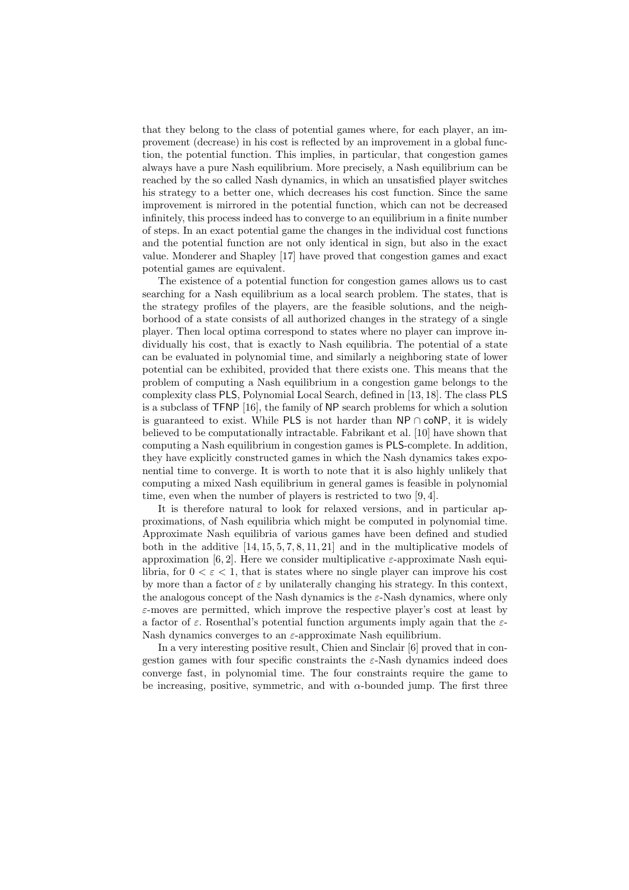that they belong to the class of potential games where, for each player, an improvement (decrease) in his cost is reflected by an improvement in a global function, the potential function. This implies, in particular, that congestion games always have a pure Nash equilibrium. More precisely, a Nash equilibrium can be reached by the so called Nash dynamics, in which an unsatisfied player switches his strategy to a better one, which decreases his cost function. Since the same improvement is mirrored in the potential function, which can not be decreased infinitely, this process indeed has to converge to an equilibrium in a finite number of steps. In an exact potential game the changes in the individual cost functions and the potential function are not only identical in sign, but also in the exact value. Monderer and Shapley [17] have proved that congestion games and exact potential games are equivalent.

The existence of a potential function for congestion games allows us to cast searching for a Nash equilibrium as a local search problem. The states, that is the strategy profiles of the players, are the feasible solutions, and the neighborhood of a state consists of all authorized changes in the strategy of a single player. Then local optima correspond to states where no player can improve individually his cost, that is exactly to Nash equilibria. The potential of a state can be evaluated in polynomial time, and similarly a neighboring state of lower potential can be exhibited, provided that there exists one. This means that the problem of computing a Nash equilibrium in a congestion game belongs to the complexity class PLS, Polynomial Local Search, defined in [13, 18]. The class PLS is a subclass of TFNP [16], the family of NP search problems for which a solution is guaranteed to exist. While PLS is not harder than NP ∩ coNP, it is widely believed to be computationally intractable. Fabrikant et al. [10] have shown that computing a Nash equilibrium in congestion games is PLS-complete. In addition, they have explicitly constructed games in which the Nash dynamics takes exponential time to converge. It is worth to note that it is also highly unlikely that computing a mixed Nash equilibrium in general games is feasible in polynomial time, even when the number of players is restricted to two [9, 4].

It is therefore natural to look for relaxed versions, and in particular approximations, of Nash equilibria which might be computed in polynomial time. Approximate Nash equilibria of various games have been defined and studied both in the additive [14, 15, 5, 7, 8, 11, 21] and in the multiplicative models of approximation [6, 2]. Here we consider multiplicative  $\varepsilon$ -approximate Nash equilibria, for  $0 < \varepsilon < 1$ , that is states where no single player can improve his cost by more than a factor of  $\varepsilon$  by unilaterally changing his strategy. In this context, the analogous concept of the Nash dynamics is the  $\varepsilon$ -Nash dynamics, where only  $\varepsilon$ -moves are permitted, which improve the respective player's cost at least by a factor of  $\varepsilon$ . Rosenthal's potential function arguments imply again that the  $\varepsilon$ -Nash dynamics converges to an  $\varepsilon$ -approximate Nash equilibrium.

In a very interesting positive result, Chien and Sinclair [6] proved that in congestion games with four specific constraints the  $\varepsilon$ -Nash dynamics indeed does converge fast, in polynomial time. The four constraints require the game to be increasing, positive, symmetric, and with  $\alpha$ -bounded jump. The first three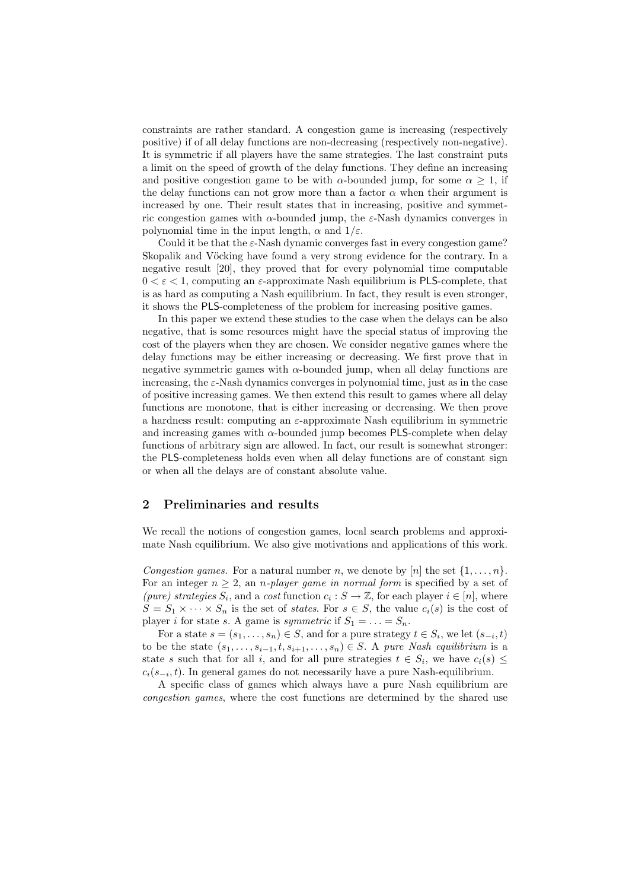constraints are rather standard. A congestion game is increasing (respectively positive) if of all delay functions are non-decreasing (respectively non-negative). It is symmetric if all players have the same strategies. The last constraint puts a limit on the speed of growth of the delay functions. They define an increasing and positive congestion game to be with  $\alpha$ -bounded jump, for some  $\alpha \geq 1$ , if the delay functions can not grow more than a factor  $\alpha$  when their argument is increased by one. Their result states that in increasing, positive and symmetric congestion games with  $\alpha$ -bounded jump, the  $\varepsilon$ -Nash dynamics converges in polynomial time in the input length,  $\alpha$  and  $1/\varepsilon$ .

Could it be that the  $\varepsilon$ -Nash dynamic converges fast in every congestion game? Skopalik and Vöcking have found a very strong evidence for the contrary. In a negative result [20], they proved that for every polynomial time computable  $0 < \varepsilon < 1$ , computing an  $\varepsilon$ -approximate Nash equilibrium is PLS-complete, that is as hard as computing a Nash equilibrium. In fact, they result is even stronger, it shows the PLS-completeness of the problem for increasing positive games.

In this paper we extend these studies to the case when the delays can be also negative, that is some resources might have the special status of improving the cost of the players when they are chosen. We consider negative games where the delay functions may be either increasing or decreasing. We first prove that in negative symmetric games with  $\alpha$ -bounded jump, when all delay functions are increasing, the  $\varepsilon$ -Nash dynamics converges in polynomial time, just as in the case of positive increasing games. We then extend this result to games where all delay functions are monotone, that is either increasing or decreasing. We then prove a hardness result: computing an  $\varepsilon$ -approximate Nash equilibrium in symmetric and increasing games with  $\alpha$ -bounded jump becomes PLS-complete when delay functions of arbitrary sign are allowed. In fact, our result is somewhat stronger: the PLS-completeness holds even when all delay functions are of constant sign or when all the delays are of constant absolute value.

## 2 Preliminaries and results

We recall the notions of congestion games, local search problems and approximate Nash equilibrium. We also give motivations and applications of this work.

Congestion games. For a natural number n, we denote by [n] the set  $\{1, \ldots, n\}$ . For an integer  $n \geq 2$ , an *n-player game in normal form* is specified by a set of (pure) strategies  $S_i$ , and a cost function  $c_i : S \to \mathbb{Z}$ , for each player  $i \in [n]$ , where  $S = S_1 \times \cdots \times S_n$  is the set of *states*. For  $s \in S$ , the value  $c_i(s)$  is the cost of player *i* for state *s*. A game is *symmetric* if  $S_1 = \ldots = S_n$ .

For a state  $s = (s_1, \ldots, s_n) \in S$ , and for a pure strategy  $t \in S_i$ , we let  $(s_{-i}, t)$ to be the state  $(s_1, \ldots, s_{i-1}, t, s_{i+1}, \ldots, s_n) \in S$ . A pure Nash equilibrium is a state s such that for all i, and for all pure strategies  $t \in S_i$ , we have  $c_i(s) \leq$  $c_i(s_{-i}, t)$ . In general games do not necessarily have a pure Nash-equilibrium.

A specific class of games which always have a pure Nash equilibrium are congestion games, where the cost functions are determined by the shared use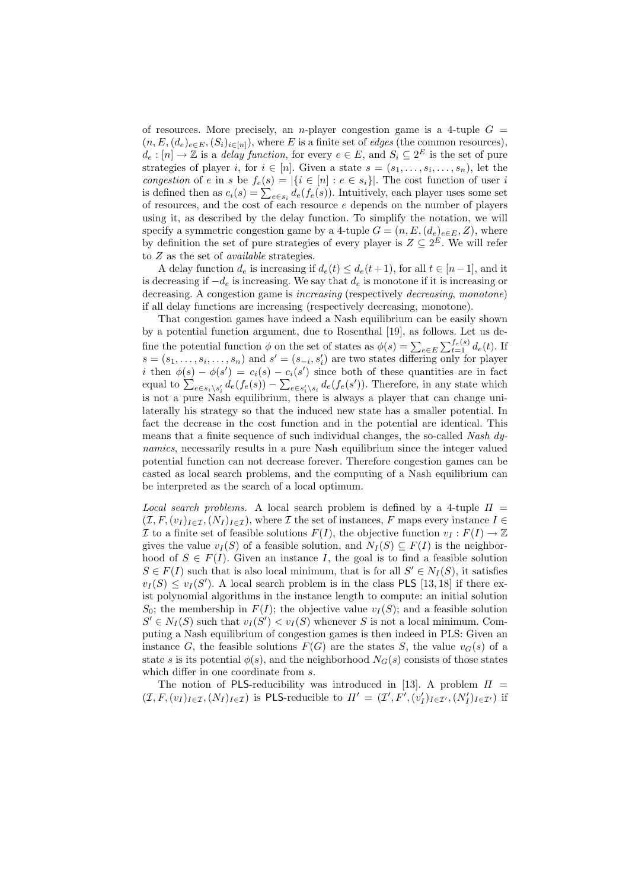of resources. More precisely, an *n*-player congestion game is a 4-tuple  $G =$  $(n, E, (d_e)_{e \in E}, (S_i)_{i \in [n]})$ , where E is a finite set of *edges* (the common resources),  $d_e: [n] \to \mathbb{Z}$  is a *delay function*, for every  $e \in E$ , and  $S_i \subseteq 2^E$  is the set of pure strategies of player *i*, for  $i \in [n]$ . Given a state  $s = (s_1, \ldots, s_i, \ldots, s_n)$ , let the congestion of e in s be  $f_e(s) = |\{i \in [n] : e \in s_i\}|$ . The cost function of user i is defined then as  $c_i(s) = \sum_{e \in s_i} d_e(f_e(s))$ . Intuitively, each player uses some set of resources, and the cost of each resource  $e$  depends on the number of players using it, as described by the delay function. To simplify the notation, we will specify a symmetric congestion game by a 4-tuple  $G = (n, E, (d_e)_{e \in E}, Z)$ , where by definition the set of pure strategies of every player is  $Z \subseteq 2^E$ . We will refer to Z as the set of available strategies.

A delay function  $d_e$  is increasing if  $d_e(t) \leq d_e(t+1)$ , for all  $t \in [n-1]$ , and it is decreasing if  $-d_e$  is increasing. We say that  $d_e$  is monotone if it is increasing or decreasing. A congestion game is increasing (respectively decreasing, monotone) if all delay functions are increasing (respectively decreasing, monotone).

That congestion games have indeed a Nash equilibrium can be easily shown by a potential function argument, due to Rosenthal [19], as follows. Let us define the potential function  $\phi$  on the set of states as  $\phi(s) = \sum_{e \in E} \sum_{t=1}^{f_e(s)} d_e(t)$ . If  $s = (s_1, \ldots, s_i, \ldots, s_n)$  and  $s' = (s_{-i}, s'_i)$  are two states differing only for player i then  $\phi(s) - \phi(s') = c_i(s) - c_i(s')$  since both of these quantities are in fact equal to  $\sum_{e \in s_i \setminus s'_i} d_e(f_e(s)) - \sum_{e \in s'_i \setminus s_i} d_e(f_e(s'))$ . Therefore, in any state which is not a pure Nash equilibrium, there is always a player that can change unilaterally his strategy so that the induced new state has a smaller potential. In fact the decrease in the cost function and in the potential are identical. This means that a finite sequence of such individual changes, the so-called Nash dynamics, necessarily results in a pure Nash equilibrium since the integer valued potential function can not decrease forever. Therefore congestion games can be casted as local search problems, and the computing of a Nash equilibrium can be interpreted as the search of a local optimum.

Local search problems. A local search problem is defined by a 4-tuple  $\Pi$  =  $(\mathcal{I}, F, (v_I)_{I \in \mathcal{I}}, (N_I)_{I \in \mathcal{I}})$ , where  $\mathcal{I}$  the set of instances, F maps every instance  $I \in$ If to a finite set of feasible solutions  $F(I)$ , the objective function  $v_I : F(I) \to \mathbb{Z}$ gives the value  $v_I(S)$  of a feasible solution, and  $N_I(S) \subseteq F(I)$  is the neighborhood of  $S \in F(I)$ . Given an instance I, the goal is to find a feasible solution  $S \in F(I)$  such that is also local minimum, that is for all  $S' \in N_I(S)$ , it satisfies  $v_I(S) \le v_I(S')$ . A local search problem is in the class PLS [13, 18] if there exist polynomial algorithms in the instance length to compute: an initial solution  $S_0$ ; the membership in  $F(I)$ ; the objective value  $v_I(S)$ ; and a feasible solution  $S' \in N_I(S)$  such that  $v_I(S') < v_I(S)$  whenever S is not a local minimum. Computing a Nash equilibrium of congestion games is then indeed in PLS: Given an instance G, the feasible solutions  $F(G)$  are the states S, the value  $v_G(s)$  of a state s is its potential  $\phi(s)$ , and the neighborhood  $N_G(s)$  consists of those states which differ in one coordinate from  $s$ .

The notion of PLS-reducibility was introduced in [13]. A problem  $\Pi$  =  $(\mathcal{I}, F, (v_I)_{I \in \mathcal{I}}, (N_I)_{I \in \mathcal{I}})$  is PLS-reducible to  $\Pi' = (\mathcal{I}', F', (v_I')_{I \in \mathcal{I}'}, (N_I')_{I \in \mathcal{I}'})$  if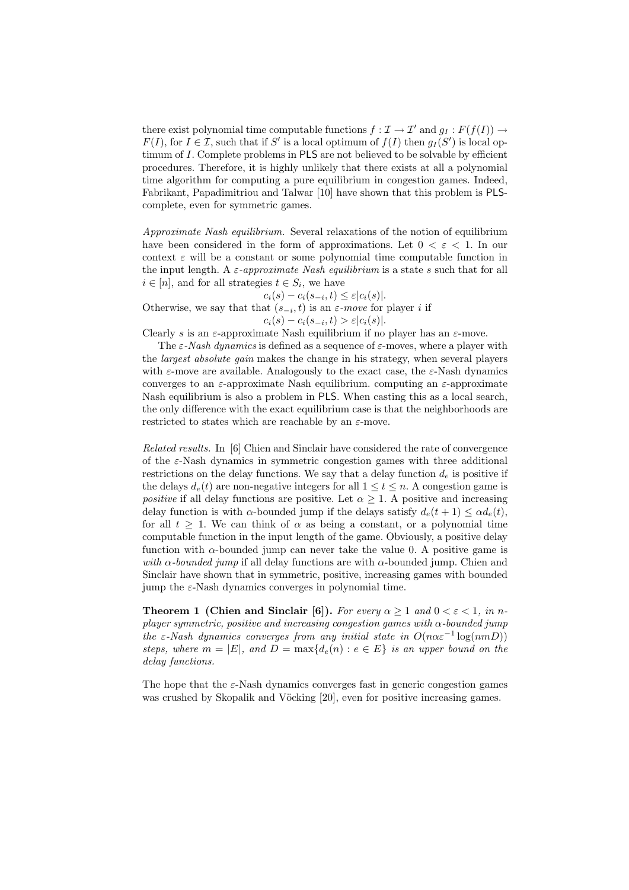there exist polynomial time computable functions  $f : \mathcal{I} \to \mathcal{I}'$  and  $g_I : F(f(I)) \to$  $F(I)$ , for  $I \in \mathcal{I}$ , such that if S' is a local optimum of  $f(I)$  then  $g_I(S')$  is local optimum of I. Complete problems in PLS are not believed to be solvable by efficient procedures. Therefore, it is highly unlikely that there exists at all a polynomial time algorithm for computing a pure equilibrium in congestion games. Indeed, Fabrikant, Papadimitriou and Talwar [10] have shown that this problem is PLScomplete, even for symmetric games.

Approximate Nash equilibrium. Several relaxations of the notion of equilibrium have been considered in the form of approximations. Let  $0 < \varepsilon < 1$ . In our context  $\varepsilon$  will be a constant or some polynomial time computable function in the input length. A  $\varepsilon$ -approximate Nash equilibrium is a state s such that for all  $i \in [n]$ , and for all strategies  $t \in S_i$ , we have

 $c_i(s) - c_i(s_{-i}, t) \leq \varepsilon |c_i(s)|.$ 

Otherwise, we say that that  $(s_{-i}, t)$  is an  $\varepsilon$ -move for player i if  $c_i(s) - c_i(s_{-i}, t) > \varepsilon |c_i(s)|.$ 

Clearly s is an  $\varepsilon$ -approximate Nash equilibrium if no player has an  $\varepsilon$ -move.

The  $\varepsilon$ -Nash dynamics is defined as a sequence of  $\varepsilon$ -moves, where a player with the *largest absolute gain* makes the change in his strategy, when several players with  $\varepsilon$ -move are available. Analogously to the exact case, the  $\varepsilon$ -Nash dynamics converges to an  $\varepsilon$ -approximate Nash equilibrium. computing an  $\varepsilon$ -approximate Nash equilibrium is also a problem in PLS. When casting this as a local search, the only difference with the exact equilibrium case is that the neighborhoods are restricted to states which are reachable by an  $\varepsilon$ -move.

Related results. In [6] Chien and Sinclair have considered the rate of convergence of the  $\varepsilon$ -Nash dynamics in symmetric congestion games with three additional restrictions on the delay functions. We say that a delay function  $d_e$  is positive if the delays  $d_e(t)$  are non-negative integers for all  $1 \le t \le n$ . A congestion game is positive if all delay functions are positive. Let  $\alpha \geq 1$ . A positive and increasing delay function is with  $\alpha$ -bounded jump if the delays satisfy  $d_e(t+1) \leq \alpha d_e(t)$ , for all  $t \geq 1$ . We can think of  $\alpha$  as being a constant, or a polynomial time computable function in the input length of the game. Obviously, a positive delay function with  $\alpha$ -bounded jump can never take the value 0. A positive game is with  $\alpha$ -bounded jump if all delay functions are with  $\alpha$ -bounded jump. Chien and Sinclair have shown that in symmetric, positive, increasing games with bounded jump the  $\varepsilon$ -Nash dynamics converges in polynomial time.

**Theorem 1 (Chien and Sinclair [6]).** For every  $\alpha > 1$  and  $0 < \varepsilon < 1$ , in nplayer symmetric, positive and increasing congestion games with α-bounded jump the  $\varepsilon$ -Nash dynamics converges from any initial state in  $O(n\alpha\varepsilon^{-1} \log(nmD))$ steps, where  $m = |E|$ , and  $D = \max\{d_e(n) : e \in E\}$  is an upper bound on the delay functions.

The hope that the  $\varepsilon$ -Nash dynamics converges fast in generic congestion games was crushed by Skopalik and Vöcking [20], even for positive increasing games.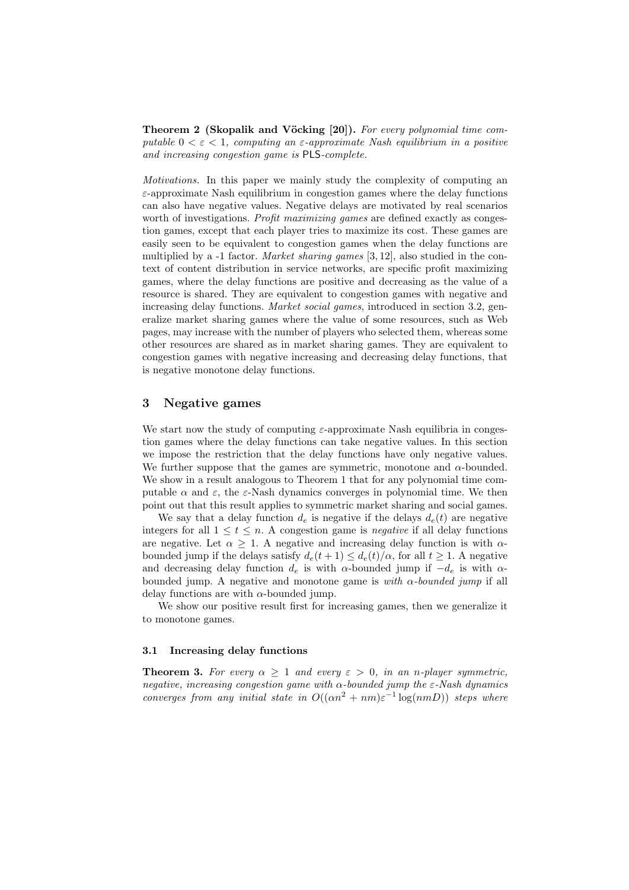**Theorem 2 (Skopalik and Vöcking [20]).** For every polynomial time computable  $0 < \varepsilon < 1$ , computing an  $\varepsilon$ -approximate Nash equilibrium in a positive and increasing congestion game is PLS-complete.

Motivations. In this paper we mainly study the complexity of computing an  $\varepsilon$ -approximate Nash equilibrium in congestion games where the delay functions can also have negative values. Negative delays are motivated by real scenarios worth of investigations. *Profit maximizing games* are defined exactly as congestion games, except that each player tries to maximize its cost. These games are easily seen to be equivalent to congestion games when the delay functions are multiplied by a -1 factor. *Market sharing games* [3, 12], also studied in the context of content distribution in service networks, are specific profit maximizing games, where the delay functions are positive and decreasing as the value of a resource is shared. They are equivalent to congestion games with negative and increasing delay functions. Market social games, introduced in section 3.2, generalize market sharing games where the value of some resources, such as Web pages, may increase with the number of players who selected them, whereas some other resources are shared as in market sharing games. They are equivalent to congestion games with negative increasing and decreasing delay functions, that is negative monotone delay functions.

# 3 Negative games

We start now the study of computing  $\varepsilon$ -approximate Nash equilibria in congestion games where the delay functions can take negative values. In this section we impose the restriction that the delay functions have only negative values. We further suppose that the games are symmetric, monotone and  $\alpha$ -bounded. We show in a result analogous to Theorem 1 that for any polynomial time computable  $\alpha$  and  $\varepsilon$ , the  $\varepsilon$ -Nash dynamics converges in polynomial time. We then point out that this result applies to symmetric market sharing and social games.

We say that a delay function  $d_e$  is negative if the delays  $d_e(t)$  are negative integers for all  $1 \leq t \leq n$ . A congestion game is *negative* if all delay functions are negative. Let  $\alpha \geq 1$ . A negative and increasing delay function is with  $\alpha$ bounded jump if the delays satisfy  $d_e(t+1) \leq d_e(t)/\alpha$ , for all  $t \geq 1$ . A negative and decreasing delay function  $d_e$  is with  $\alpha$ -bounded jump if  $-d_e$  is with  $\alpha$ bounded jump. A negative and monotone game is with  $\alpha$ -bounded jump if all delay functions are with  $\alpha$ -bounded jump.

We show our positive result first for increasing games, then we generalize it to monotone games.

#### 3.1 Increasing delay functions

**Theorem 3.** For every  $\alpha \geq 1$  and every  $\varepsilon > 0$ , in an n-player symmetric, negative, increasing congestion game with  $\alpha$ -bounded jump the  $\varepsilon$ -Nash dynamics converges from any initial state in  $O((\alpha n^2 + nm)\varepsilon^{-1} \log(nm))$  steps where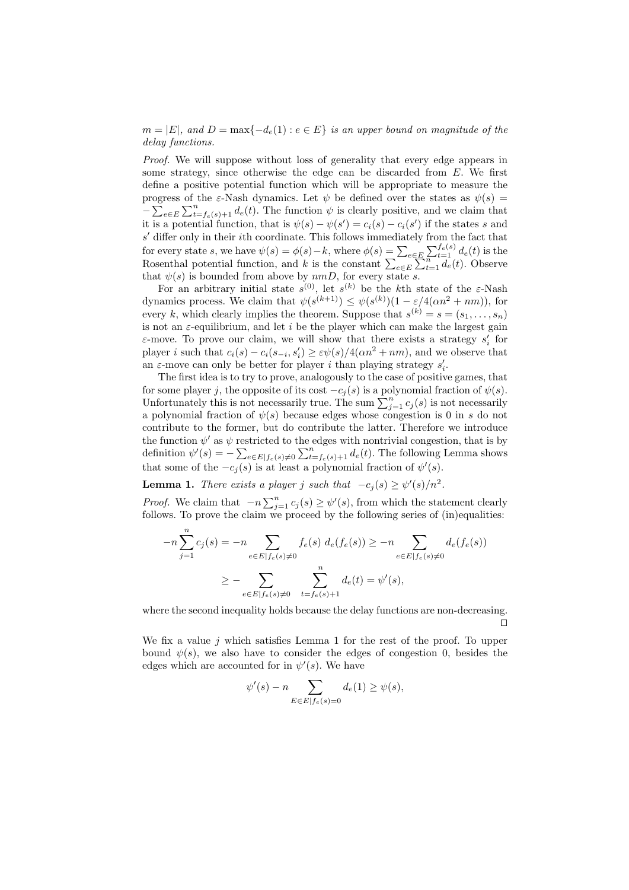$m = |E|$ , and  $D = \max\{-d_e(1) : e \in E\}$  is an upper bound on magnitude of the delay functions.

Proof. We will suppose without loss of generality that every edge appears in some strategy, since otherwise the edge can be discarded from E. We first define a positive potential function which will be appropriate to measure the progress of the  $\varepsilon$ -Nash dynamics. Let  $\psi$  be defined over the states as  $\psi(s)$  =  $-\sum_{e\in E}\sum_{t=f_e(s)+1}^n d_e(t)$ . The function  $\psi$  is clearly positive, and we claim that it is a potential function, that is  $\psi(s) - \psi(s') = c_i(s) - c_i(s')$  if the states s and  $s'$  differ only in their *i*th coordinate. This follows immediately from the fact that for every state s, we have  $\psi(s) = \phi(s) - k$ , where  $\phi(s) = \sum_{e \in E} \sum_{i=1}^{f_e(s)} d_e(t)$  is the Rosenthal potential function, and k is the constant  $\sum_{e \in E} \sum_{t=1}^{n} d_e(t)$ . Observe that  $\psi(s)$  is bounded from above by  $nmD$ , for every state s.

For an arbitrary initial state  $s^{(0)}$ , let  $s^{(k)}$  be the k<sup>th</sup> state of the  $\varepsilon$ -Nash dynamics process. We claim that  $\psi(s^{(k+1)}) \leq \psi(s^{(k)})(1 - \varepsilon/4(\alpha n^2 + nm))$ , for every k, which clearly implies the theorem. Suppose that  $s^{(k)} = s = (s_1, \ldots, s_n)$ is not an  $\varepsilon$ -equilibrium, and let i be the player which can make the largest gain  $\varepsilon$ -move. To prove our claim, we will show that there exists a strategy  $s_i'$  for player *i* such that  $c_i(s) - c_i(s_{-i}, s'_i) \ge \varepsilon \psi(s) / 4(\alpha n^2 + nm)$ , and we observe that an  $\varepsilon$ -move can only be better for player *i* than playing strategy  $s'_i$ .

The first idea is to try to prove, analogously to the case of positive games, that for some player j, the opposite of its cost  $-c<sub>i</sub>(s)$  is a polynomial fraction of  $\psi(s)$ . Unfortunately this is not necessarily true. The sum  $\sum_{j=1}^{n} c_j(s)$  is not necessarily a polynomial fraction of  $\psi(s)$  because edges whose congestion is 0 in s do not contribute to the former, but do contribute the latter. Therefore we introduce the function  $\psi'$  as  $\psi$  restricted to the edges with nontrivial congestion, that is by definition  $\psi'(s) = -\sum_{e \in E|f_e(s) \neq 0} \sum_{t=f_e(s)+1}^{n} d_e(t)$ . The following Lemma shows that some of the  $-c_j(s)$  is at least a polynomial fraction of  $\psi'(s)$ .

**Lemma 1.** There exists a player j such that  $-c_j(s) \ge \psi'(s)/n^2$ .

*Proof.* We claim that  $-n \sum_{j=1}^{n} c_j(s) \geq \psi'(s)$ , from which the statement clearly follows. To prove the claim we proceed by the following series of (in)equalities:

$$
-n\sum_{j=1}^{n}c_{j}(s) = -n \sum_{e \in E|f_{e}(s) \neq 0} f_{e}(s) d_{e}(f_{e}(s)) \geq -n \sum_{e \in E|f_{e}(s) \neq 0} d_{e}(f_{e}(s))
$$
  

$$
\geq -\sum_{e \in E|f_{e}(s) \neq 0} \sum_{t=f_{e}(s)+1}^{n} d_{e}(t) = \psi'(s),
$$

where the second inequality holds because the delay functions are non-decreasing.  $\Box$ 

We fix a value  $j$  which satisfies Lemma 1 for the rest of the proof. To upper bound  $\psi(s)$ , we also have to consider the edges of congestion 0, besides the edges which are accounted for in  $\psi'(s)$ . We have

$$
\psi'(s) - n \sum_{E \in E|f_e(s) = 0} d_e(1) \ge \psi(s),
$$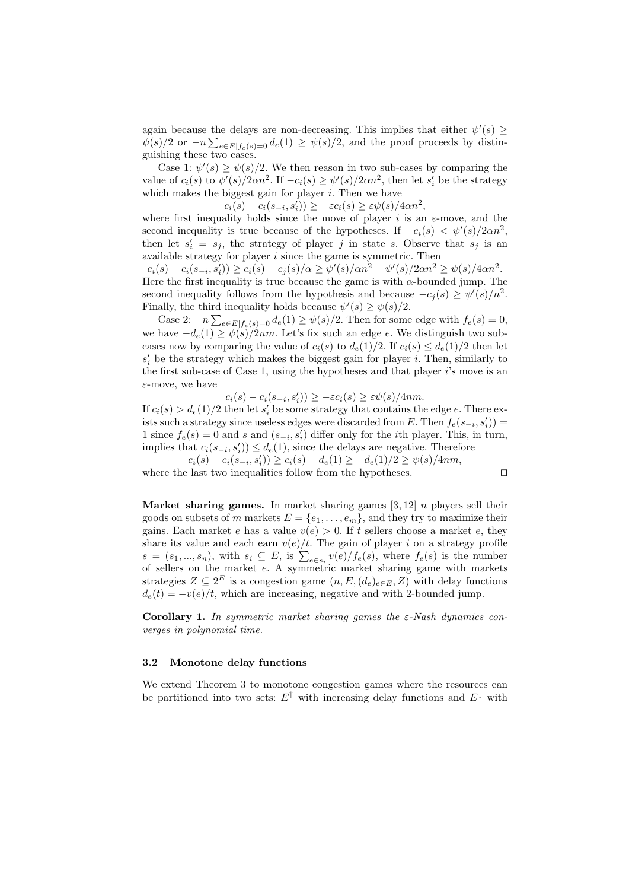again because the delays are non-decreasing. This implies that either  $\psi'(s) \geq$  $\psi(s)/2$  or  $-n\sum_{e\in E|f_e(s)=0}d_e(1) \geq \psi(s)/2$ , and the proof proceeds by distinguishing these two cases.

Case 1:  $\psi'(s) \geq \psi(s)/2$ . We then reason in two sub-cases by comparing the value of  $c_i(s)$  to  $\psi'(s)/2\alpha n^2$ . If  $-c_i(s) \geq \psi'(s)/2\alpha n^2$ , then let  $s'_i$  be the strategy which makes the biggest gain for player  $i$ . Then we have

 $c_i(s) - c_i(s_{-i}, s'_i) \geq -\varepsilon c_i(s) \geq \varepsilon \psi(s) / 4\alpha n^2,$ 

where first inequality holds since the move of player i is an  $\varepsilon$ -move, and the second inequality is true because of the hypotheses. If  $-c_i(s) < \psi'(s)/2\alpha n^2$ , then let  $s_i' = s_j$ , the strategy of player j in state s. Observe that  $s_j$  is an available strategy for player  $i$  since the game is symmetric. Then

 $c_i(s) - c_i(s_{-i}, s'_i) \ge c_i(s) - c_j(s) / \alpha \ge \psi'(s) / \alpha n^2 - \psi'(s) / 2\alpha n^2 \ge \psi(s) / 4\alpha n^2.$ Here the first inequality is true because the game is with  $\alpha$ -bounded jump. The second inequality follows from the hypothesis and because  $-c_j(s) \ge \psi'(s)/n^2$ . Finally, the third inequality holds because  $\psi'(s) \geq \psi(s)/2$ .

Case 2:  $-n\sum_{e\in E|f_e(s)=0}d_e(1) \geq \psi(s)/2$ . Then for some edge with  $f_e(s) = 0$ , we have  $-d_e(1) \geq \psi(\tilde{s})/2nm$ . Let's fix such an edge e. We distinguish two subcases now by comparing the value of  $c_i(s)$  to  $d_e(1)/2$ . If  $c_i(s) \leq d_e(1)/2$  then let  $s'_{i}$  be the strategy which makes the biggest gain for player *i*. Then, similarly to the first sub-case of Case 1, using the hypotheses and that player  $i$ 's move is an  $\varepsilon$ -move, we have

 $c_i(s) - c_i(s_{-i}, s'_i)) \geq -\varepsilon c_i(s) \geq \varepsilon \psi(s) / 4nm.$ 

If  $c_i(s) > d_e(1)/2$  then let  $s'_i$  be some strategy that contains the edge e. There exists such a strategy since useless edges were discarded from E. Then  $f_e(s_{-i}, s'_i)$  = 1 since  $f_e(s) = 0$  and s and  $(s_{-i}, s'_i)$  differ only for the *i*th player. This, in turn, implies that  $c_i(s_{-i}, s'_i) \leq d_e(1)$ , since the delays are negative. Therefore  $c_i(s) - c_i(s_{-i}, s'_i)) \ge c_i(s) - d_e(1) \ge -d_e(1)/2 \ge \psi(s)/4nm,$ 

where the last two inequalities follow from the hypotheses.  $\Box$ 

Market sharing games. In market sharing games  $[3, 12]$  *n* players sell their goods on subsets of m markets  $E = \{e_1, \ldots, e_m\}$ , and they try to maximize their gains. Each market e has a value  $v(e) > 0$ . If t sellers choose a market e, they share its value and each earn  $v(e)/t$ . The gain of player i on a strategy profile  $s = (s_1, ..., s_n)$ , with  $s_i \subseteq E$ , is  $\sum_{e \in s_i} v(e)/f_e(s)$ , where  $f_e(s)$  is the number of sellers on the market e. A symmetric market sharing game with markets strategies  $Z \subseteq 2^E$  is a congestion game  $(n, E, (d_e)_{e \in E}, Z)$  with delay functions  $d_e(t) = -v(e)/t$ , which are increasing, negative and with 2-bounded jump.

**Corollary 1.** In symmetric market sharing games the  $\varepsilon$ -Nash dynamics converges in polynomial time.

#### 3.2 Monotone delay functions

We extend Theorem 3 to monotone congestion games where the resources can be partitioned into two sets:  $E^{\dagger}$  with increasing delay functions and  $E^{\dagger}$  with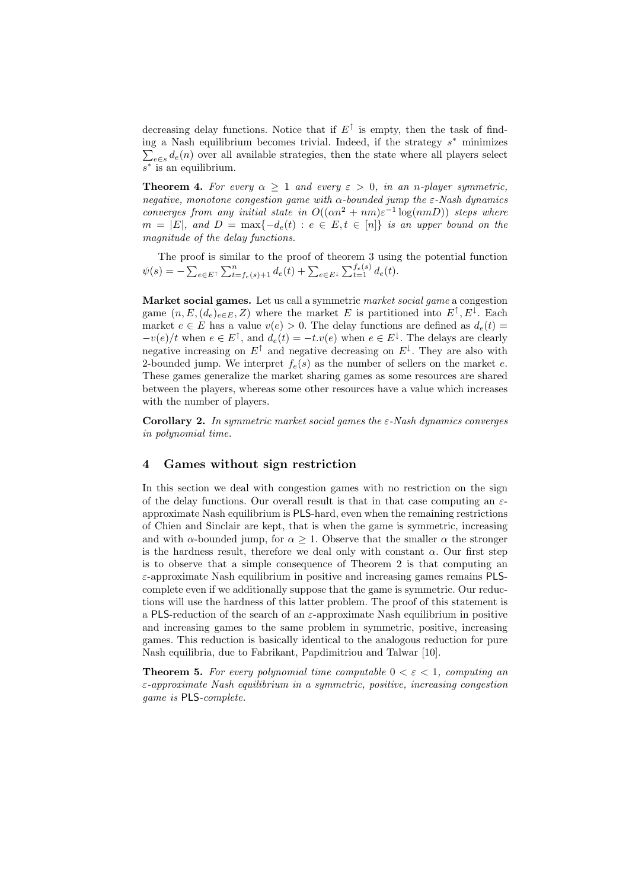decreasing delay functions. Notice that if  $E^{\uparrow}$  is empty, then the task of finding a Nash equilibrium becomes trivial. Indeed, if the strategy  $s^*$  minimizes  $\sum_{e \in s} d_e(n)$  over all available strategies, then the state where all players select s ∗ is an equilibrium.

**Theorem 4.** For every  $\alpha \geq 1$  and every  $\varepsilon > 0$ , in an n-player symmetric, negative, monotone congestion game with  $\alpha$ -bounded jump the  $\varepsilon$ -Nash dynamics converges from any initial state in  $O((\alpha n^2 + nm)\varepsilon^{-1} \log(nm))$  steps where  $m = |E|$ , and  $D = \max\{-d_e(t) : e \in E, t \in [n]\}$  is an upper bound on the magnitude of the delay functions.

The proof is similar to the proof of theorem 3 using the potential function  $\psi(s) = -\sum_{e \in E^{\dagger}} \sum_{t=f_e(s)+1}^{n} d_e(t) + \sum_{e \in E^{\dagger}} \sum_{t=1}^{f_e(s)} d_e(t).$ 

Market social games. Let us call a symmetric market social game a congestion game  $(n, E, (d_e)_{e \in E}, Z)$  where the market E is partitioned into  $E^{\dagger}, E^{\dagger}$ . Each market  $e \in E$  has a value  $v(e) > 0$ . The delay functions are defined as  $d_e(t) =$  $-v(e)/t$  when  $e \in E^{\uparrow}$ , and  $d_e(t) = -t \cdot v(e)$  when  $e \in E^{\downarrow}$ . The delays are clearly negative increasing on  $E^{\dagger}$  and negative decreasing on  $E^{\dagger}$ . They are also with 2-bounded jump. We interpret  $f_e(s)$  as the number of sellers on the market e. These games generalize the market sharing games as some resources are shared between the players, whereas some other resources have a value which increases with the number of players.

Corollary 2. In symmetric market social games the  $\varepsilon$ -Nash dynamics converges in polynomial time.

## 4 Games without sign restriction

In this section we deal with congestion games with no restriction on the sign of the delay functions. Our overall result is that in that case computing an  $\varepsilon$ approximate Nash equilibrium is PLS-hard, even when the remaining restrictions of Chien and Sinclair are kept, that is when the game is symmetric, increasing and with  $\alpha$ -bounded jump, for  $\alpha > 1$ . Observe that the smaller  $\alpha$  the stronger is the hardness result, therefore we deal only with constant  $\alpha$ . Our first step is to observe that a simple consequence of Theorem 2 is that computing an  $\varepsilon$ -approximate Nash equilibrium in positive and increasing games remains PLScomplete even if we additionally suppose that the game is symmetric. Our reductions will use the hardness of this latter problem. The proof of this statement is a PLS-reduction of the search of an  $\varepsilon$ -approximate Nash equilibrium in positive and increasing games to the same problem in symmetric, positive, increasing games. This reduction is basically identical to the analogous reduction for pure Nash equilibria, due to Fabrikant, Papdimitriou and Talwar [10].

**Theorem 5.** For every polynomial time computable  $0 < \varepsilon < 1$ , computing an  $\varepsilon$ -approximate Nash equilibrium in a symmetric, positive, increasing congestion game is PLS-complete.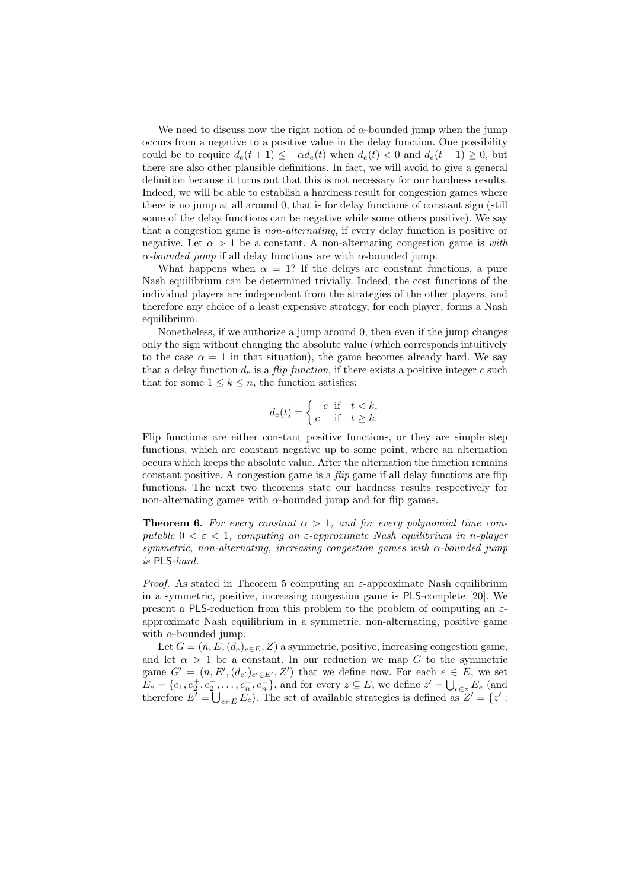We need to discuss now the right notion of  $\alpha$ -bounded jump when the jump occurs from a negative to a positive value in the delay function. One possibility could be to require  $d_e(t+1) \leq -\alpha d_e(t)$  when  $d_e(t) < 0$  and  $d_e(t+1) \geq 0$ , but there are also other plausible definitions. In fact, we will avoid to give a general definition because it turns out that this is not necessary for our hardness results. Indeed, we will be able to establish a hardness result for congestion games where there is no jump at all around 0, that is for delay functions of constant sign (still some of the delay functions can be negative while some others positive). We say that a congestion game is non-alternating, if every delay function is positive or negative. Let  $\alpha > 1$  be a constant. A non-alternating congestion game is with  $\alpha$ -bounded jump if all delay functions are with  $\alpha$ -bounded jump.

What happens when  $\alpha = 1$ ? If the delays are constant functions, a pure Nash equilibrium can be determined trivially. Indeed, the cost functions of the individual players are independent from the strategies of the other players, and therefore any choice of a least expensive strategy, for each player, forms a Nash equilibrium.

Nonetheless, if we authorize a jump around 0, then even if the jump changes only the sign without changing the absolute value (which corresponds intuitively to the case  $\alpha = 1$  in that situation), the game becomes already hard. We say that a delay function  $d_e$  is a *flip function*, if there exists a positive integer c such that for some  $1 \leq k \leq n$ , the function satisfies:

$$
d_e(t) = \begin{cases} -c & \text{if } t < k, \\ c & \text{if } t \ge k. \end{cases}
$$

Flip functions are either constant positive functions, or they are simple step functions, which are constant negative up to some point, where an alternation occurs which keeps the absolute value. After the alternation the function remains constant positive. A congestion game is a  $flip$  game if all delay functions are flip functions. The next two theorems state our hardness results respectively for non-alternating games with  $\alpha$ -bounded jump and for flip games.

**Theorem 6.** For every constant  $\alpha > 1$ , and for every polynomial time computable  $0 < \varepsilon < 1$ , computing an  $\varepsilon$ -approximate Nash equilibrium in n-player symmetric, non-alternating, increasing congestion games with  $\alpha$ -bounded jump is PLS-hard.

*Proof.* As stated in Theorem 5 computing an  $\varepsilon$ -approximate Nash equilibrium in a symmetric, positive, increasing congestion game is PLS-complete [20]. We present a PLS-reduction from this problem to the problem of computing an  $\varepsilon$ approximate Nash equilibrium in a symmetric, non-alternating, positive game with  $\alpha$ -bounded jump.

Let  $G = (n, E, (d_e)_{e \in E}, Z)$  a symmetric, positive, increasing congestion game, and let  $\alpha > 1$  be a constant. In our reduction we map G to the symmetric game  $G' = (n, E', (d_{e'})_{e' \in E'}, Z')$  that we define now. For each  $e \in E$ , we set  $E_e = \{e_1, e_2^+, e_2^-, \ldots, e_n^+, e_n^-\}$ , and for every  $z \subseteq E$ , we define  $z' = \bigcup_{e \in z} E_e$  (and therefore  $E' = \bigcup_{e \in E} E_e$ . The set of available strategies is defined as  $Z' = \{z' :$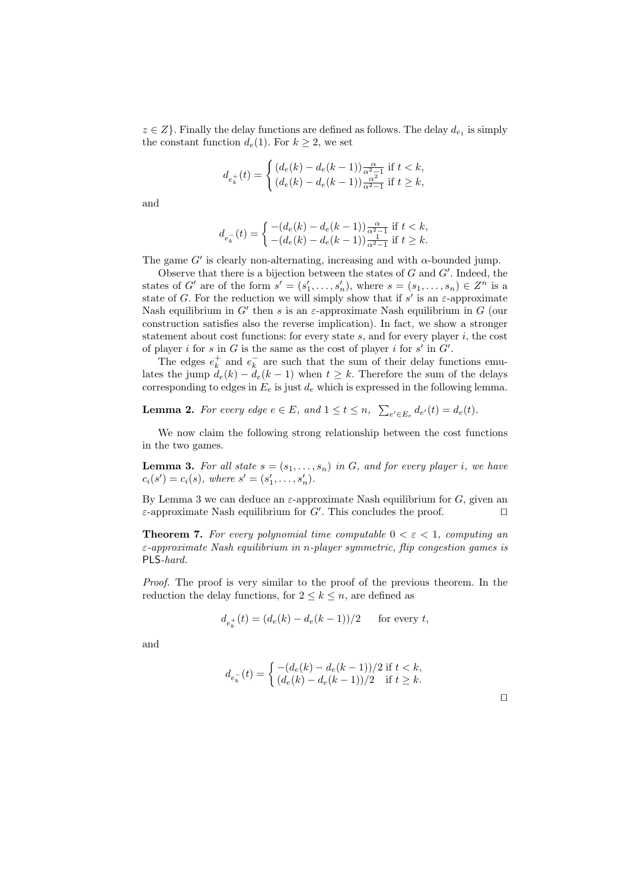$z \in Z$ . Finally the delay functions are defined as follows. The delay  $d_{e_1}$  is simply the constant function  $d_e(1)$ . For  $k \geq 2$ , we set

$$
d_{e_k^+}(t) = \begin{cases} (d_e(k) - d_e(k-1))\frac{\alpha}{\alpha^2 - 1} \text{ if } t < k, \\ (d_e(k) - d_e(k-1))\frac{\alpha^2}{\alpha^2 - 1} \text{ if } t \ge k, \end{cases}
$$

and

$$
d_{e_k^-}(t)=\left\{\begin{matrix} -(d_e(k)-d_e(k-1))\frac{\alpha}{\alpha^2-1}\text{ if } t
$$

The game  $G'$  is clearly non-alternating, increasing and with  $\alpha$ -bounded jump.

Observe that there is a bijection between the states of  $G$  and  $G'$ . Indeed, the states of G' are of the form  $s' = (s'_1, \ldots, s'_n)$ , where  $s = (s_1, \ldots, s_n) \in \mathbb{Z}^n$  is a state of G. For the reduction we will simply show that if  $s'$  is an  $\varepsilon$ -approximate Nash equilibrium in  $G'$  then s is an  $\varepsilon$ -approximate Nash equilibrium in G (our construction satisfies also the reverse implication). In fact, we show a stronger statement about cost functions: for every state  $s$ , and for every player  $i$ , the cost of player i for s in G is the same as the cost of player i for  $s'$  in  $G'$ .

The edges  $e_k^+$  and  $e_k^-$  are such that the sum of their delay functions emulates the jump  $d_e(k) - d_e(k-1)$  when  $t \geq k$ . Therefore the sum of the delays corresponding to edges in  $E_e$  is just  $d_e$  which is expressed in the following lemma.

**Lemma 2.** For every edge  $e \in E$ , and  $1 \le t \le n$ ,  $\sum_{e' \in E_e} d_{e'}(t) = d_e(t)$ .

We now claim the following strong relationship between the cost functions in the two games.

**Lemma 3.** For all state  $s = (s_1, \ldots, s_n)$  in G, and for every player i, we have  $c_i(s') = c_i(s)$ , where  $s' = (s'_1, \ldots, s'_n)$ .

By Lemma 3 we can deduce an  $\varepsilon$ -approximate Nash equilibrium for G, given an  $\varepsilon$ -approximate Nash equilibrium for G'. This concludes the proof.

**Theorem 7.** For every polynomial time computable  $0 < \varepsilon < 1$ , computing an  $\varepsilon$ -approximate Nash equilibrium in n-player symmetric, flip congestion games is PLS-hard.

Proof. The proof is very similar to the proof of the previous theorem. In the reduction the delay functions, for  $2 \leq k \leq n$ , are defined as

$$
d_{e_k^+}(t) = (d_e(k) - d_e(k-1))/2
$$
 for every  $t$ ,

and

$$
d_{e_k^-}(t) = \begin{cases} -(d_e(k) - d_e(k-1))/2 & \text{if } t < k, \\ (d_e(k) - d_e(k-1))/2 & \text{if } t \ge k. \end{cases}
$$

 $\Box$